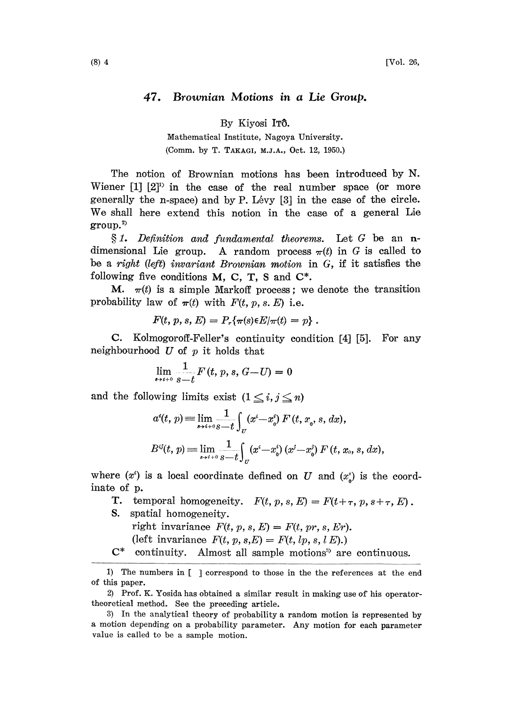## 47. Brownian Motions in a Lie Group.

By Kiyosi ITÔ.

Mathematical Institute, Nagoya University. (Comm. by T. TAKAGI, M.J.A., Oct. 12, 1950.)

The notion of Brownian motions has been introduced by N. Wiener  $[1]$   $[2]^{\mathfrak{p}}$  in the case of the real number space (or more generally the n-space) and by  $P$ . Lévy  $[3]$  in the case of the circle. We shall here extend this notion in the ease of <sup>a</sup> general Lie group.)

 $§ 1.$  Definition and fundamental theorems. Let G be an ndimensional Lie group. A random process  $\pi(t)$  in G is called to be a right (left) invariant Brownian motion in G, if it satisfies the following five conditions  $M$ , C, T, S and  $C^*$ .

M.  $\pi(t)$  is a simple Markoff process; we denote the transition probability law of  $\pi(t)$  with  $F(t, p, s, E)$  i.e.

$$
F(t, p, s, E) = P_r\{\pi(s) \in E | \pi(t) = p\}.
$$

C. Kolmogoroff-Feller's continuity condition [4] [5]. For any neighbourhood  $U$  of  $p$  it holds that

$$
\lim_{s\to t+0}\frac{1}{s-t}F(t, p, s, G-U)=0
$$

and the following limits exist  $(1 \leq i, j \leq n)$ 

$$
a^{i}(t, p) = \lim_{s \to i+0} \frac{1}{s-t} \int_{U} (x^{i} - x_{0}^{i}) F(t, x_{0}, s, dx),
$$
  

$$
B^{ij}(t, p) = \lim_{s \to i+0} \frac{1}{s-t} \int_{U} (x^{i} - x_{0}^{i}) (x^{j} - x_{0}^{j}) F(t, x_{0}, s, dx)
$$

where  $(x^i)$  is a local coordinate defined on U and  $(x^i)$  is the coordinate of p.

- **T.** temporal homogeneity.  $F(t, p, s, E) = F(t + \tau, p, s + \tau, E)$ .
- S. spatial homogeneity. right invariance  $F(t, p, s, E) = F(t, pr, s, Er)$ . (left invariance  $F(t, p, s, E) = F(t, lp, s, l E)$ .)
- $C^*$  continuity. Almost all sample motions<sup>39</sup> are continuous.

<sup>1)</sup> The numbers in  $[$  ] correspond to those in the the references at the end of this paper.

<sup>2)</sup> Prof. K. Yosida has obtained a similar result in making use of his operatortheoretical method. See the preceding article.

<sup>3)</sup> In the analytical theory of probability a random motion is represented by a motion depending on a probability parameter. Any motion for each parameter value is called to be a sample motion.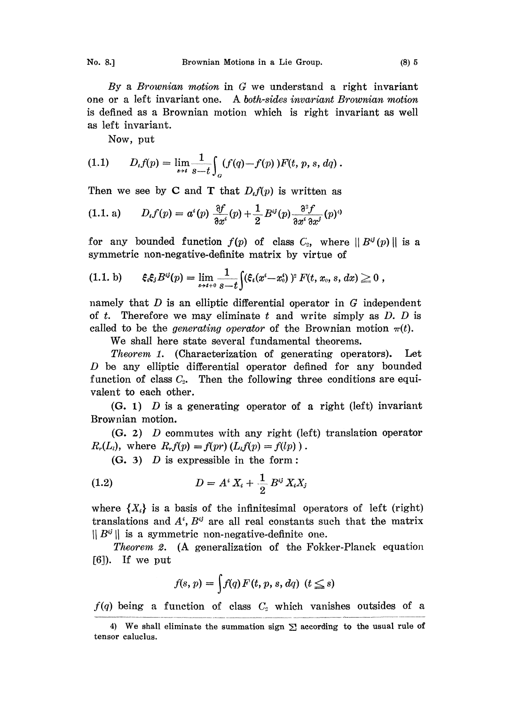By <sup>a</sup> Brownian motion in G we understand <sup>a</sup> right invariant one or <sup>a</sup> left invariant one. A both-sides invariant Brownian motion is defined as a Brownian motion which is right invariant as well as left invariant.

Now, put

$$
(1.1) \tD_{t}f(p) = \lim_{s \to t} \frac{1}{s-t} \int_{a} (f(q) - f(p)) F(t, p, s, dq).
$$

Then we see by C and T that  $D_t f(p)$  is written as

(1.1. a) 
$$
D_{\iota}f(p) = a^{\iota}(p) \frac{\partial f}{\partial x^{\iota}}(p) + \frac{1}{2} B^{\iota j}(p) \frac{\partial^2 f}{\partial x^{\iota} \partial x^j}(p)^{\iota j}
$$

for any bounded function  $f(p)$  of class  $C_2$ , where  $||B^{ij}(p)||$  is a symmetric non-negative-definite matrix by virtue of

(1.1. b) \$\$B(p) lim (\$(\$--t) ) F(t, Zo, s, d) <sup>0</sup> +o 8t

namely that  $D$  is an elliptic differential operator in  $G$  independent of t. Therefore we may eliminate t and write simply as  $D$ .  $D$  is called to be the *generating operator* of the Brownian motion  $\pi(t)$ .

We shall here state several fundamental theorems.

Theorem 1. (Characterization of generating operators). Let D be any elliptic differential operator defined for any bounded function of class  $C_2$ . Then the following three conditions are equivalent to each other.

 $(G. 1)$  D is a generating operator of a right (left) invariant Brownian motion.

 $(G. 2)$  D commutes with any right (left) translation operator  $R_r(L_l)$ , where  $R_r f(p) = f(pr) (L_l f(p) = f(lp))$ .

 $(G. 3)$  D is expressible in the form:

(1.2) 
$$
D = A^i X_i + \frac{1}{2} B^{ij} X_i X_j
$$

 $\frac{1}{2} B^{ij} X_i X_j$ <br>itesimal constant<br>al constant where  $\{X_i\}$  is a basis of the infinitesimal operators of left (right) translations and  $A^i$ ,  $B^{ij}$  are all real constants such that the matrix  $||B^{ij}||$  is a symmetric non-negative-definite one.

*Theorem 2.* (A generalization of the Fokker-Planck equation [6J). If we put

$$
f(s, p) = \int f(q) F(t, p, s, dq) \ (t \leq s)
$$

 $f(q)$  being a function of class  $C_2$  which vanishes outsides of a

<sup>4)</sup> We shall eliminate the summation sign  $\Sigma$  according to the usual rule of tensor caluclus.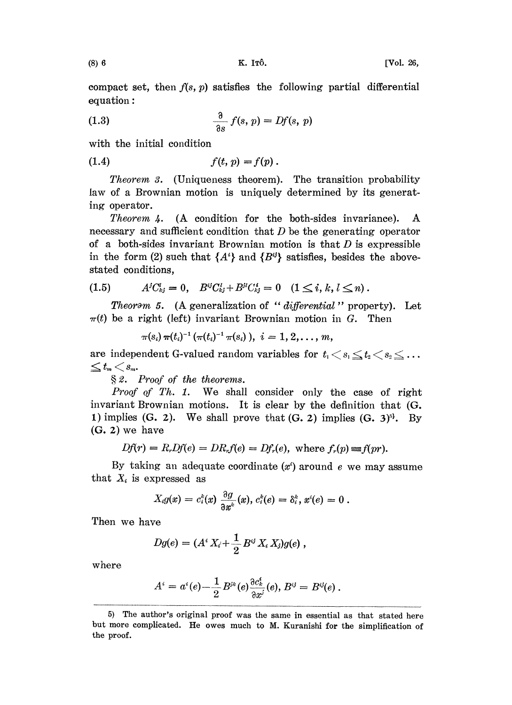compact set, then  $f(s, p)$  satisfies the following partial differential equation:

(1.3) 
$$
\frac{\partial}{\partial s} f(s, p) = Df(s, p)
$$

with the initial condition

$$
(1.4) \t f(t, p) = f(p).
$$

Theorem 3. (Uniqueness theorem). The transition probability law of a Brownian motion is uniquely determined by its generating operator.

*Theorem 4.* (A condition for the both-sides invariance). A necessary and sufficient condition that  $D$  be the generating operator of a both-sides invariant Brownian motion is that  $D$  is expressible in the form (2) such that  $\{A^i\}$  and  $\{B^{ij}\}$  satisfies, besides the above-<br>stated conditions,<br>(1.5)  $A^iC^i_{kj} = 0$ ,  $B^{ij}C^i_{kj} + B^{jl}C^i_{kj} = 0$   $(1 \leq i, k, l \leq n)$ .<br>Theorem 5, (A generalization of "differential" propert stated conditions,

$$
(1.5) \t\t AiCkji = 0, BijCkji + BiiCkji = 0 \t (1 \leq i, k, l \leq n).
$$

Theorem 5. (A generalization of "  $differential$ " property). Let  $\pi(t)$  be a right (left) invariant Brownian motion in G. Then

$$
\pi(s_i) \pi(t_i)^{-1} \left( \pi(t_i)^{-1} \pi(s_i) \right), \ i = 1, 2, \ldots, m,
$$

 $\pi(s_i) \, \pi(t_i)^{-1} \left( \pi(t_i)^{-1} \, \pi(s_i) \right), \; i=1,2,\ldots,m,$ are independent G-valued random variables for  $t_i < s_i \leq t_2 < s_2 \leq \ldots$  $\leq$   $t_m$   $<$   $s_m$ .

2. Prooj" of the theorems.

Proof of Th. 1. We shall consider only the case of right invariant Brownian motions. It is clear by the definition that (G. 1) implies  $(G. 2)$ . We shall prove that  $(G. 2)$  implies  $(G. 3)^{5}$ . By (G. 2) we have

$$
Df(r) = Rr Df(e) = DRrf(e) = Dfr(e), \text{ where } fr(p) = f(pr).
$$

By taking an adequate coordinate  $(x^i)$  around e we may assume that  $X_i$  is expressed as

$$
X_i g(x) = c_i^k(x) \frac{\partial g}{\partial x^k}(x), c_i^k(e) = \delta_i^k, x^i(e) = 0.
$$

Then we have

$$
Dg(e) = (A^i X_i + \frac{1}{2} B^{ij} X_i X_j) g(e) ,
$$

where

$$
A^i=a^i(e)\mathbf{-}\frac{1}{2}\,B^{jk}(e)\frac{\partial c^i_k}{\partial x^j}(e),\,B^{ij}=B^{ij}(e)\,.
$$

<sup>5)</sup> The author's original proof was the same in essential as that stated here but more complicated. He owes much to M. Kuranishi for the simplification of the proof.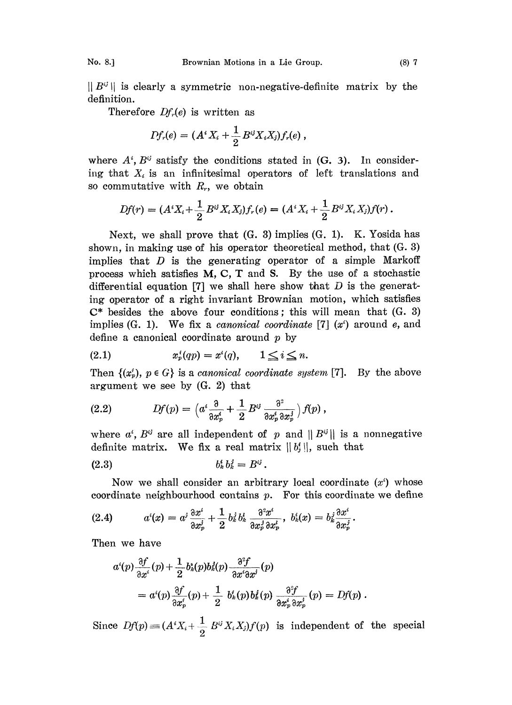$||B^{ij}||$  is clearly a symmetric non-negative-definite matrix by the definition.

Therefore  $Df_r(e)$  is written as

$$
Df_r(e) = (A^i X_i + \frac{1}{2} B^{ij} X_i X_j) f_r(e) ,
$$

where  $A^i$ ,  $B^{ij}$  satisfy the conditions stated in  $(G, 3)$ . In considering that  $X_i$  is an infinitesimal operators of left translations and so commutative with  $R_r$ , we obtain

$$
Df(r) = (A^i X_i + \frac{1}{2} B^{ij} X_i X_j) f_r(e) = (A^i X_i + \frac{1}{2} B^{ij} X_i X_j) f(r).
$$

Next, we shall prove that (G. 3) implies (G. 1). K. Yosida has shown, in making use of his operator theoretical method, that  $(G, 3)$ implies that  $D$  is the generating operator of a simple Markoff process which satisfies M, C, T and S. By the use of <sup>a</sup> stochastic differential equation  $[7]$  we shall here show that D is the generating operator of a right invariant Brownian motion, which satisfies  $C^*$  besides the above four conditions; this will mean that  $(G. 3)$ implies  $(G, 1)$ . We fix a *canonical coordinate* [7]  $(x^i)$  around e, and define a canonical coordinate around  $p$  by

$$
(2.1) \t\t xpi(qp) = xi(q), \t 1 \leq i \leq n.
$$

Then  $\{(x_p^i), p \in G\}$  is a *canonical coordinate system* [7]. By the above argument we see by (G. 2) that

(2.2) 
$$
Df(p) = \left(a^i \frac{\partial}{\partial x_p^i} + \frac{1}{2} B^{ij} \frac{\partial^2}{\partial x_p^i \partial x_p^j}\right) f(p),
$$

where  $a^i$ ,  $B^{ij}$  are all independent of p and  $||B^{ij}||$  is a nonnegative definite matrix. We fix a real matrix  $||b_j^i||$ , such that

$$
(2.3) \t\t bki bkj = Bij
$$

Now we shall consider an arbitrary local coordinate  $(x^i)$  whose coordinate neighbourhood contains  $p$ . For this coordinate we define

(2.4) 
$$
a^i(x) = a^j \frac{\partial x^i}{\partial x^j_p} + \frac{1}{2} b^j_k b^l_k \frac{\partial^2 x^i}{\partial x^j_p \partial x^l_p}, \ b^i_k(x) = b^j_k \frac{\partial x^i}{\partial x^j_p}.
$$

Then we have

$$
a^{i}(p)\frac{\partial f}{\partial x^{i}}(p) + \frac{1}{2}b^{*}_{k}(p)b^{j}_{k}(p)\frac{\partial^{2} f}{\partial x^{i}\partial x^{j}}(p)
$$
  
= 
$$
a^{i}(p)\frac{\partial f}{\partial x^{i}_{p}}(p) + \frac{1}{2}b^{i}_{k}(p)b^{j}_{k}(p)\frac{\partial^{2} f}{\partial x^{i}_{p}\partial x^{j}_{p}}(p) = Df(p).
$$

Since  $Df(p) = (A^i X_i + \frac{1}{2} B^{ij} X_i X_j) f(p)$  is independent of the special special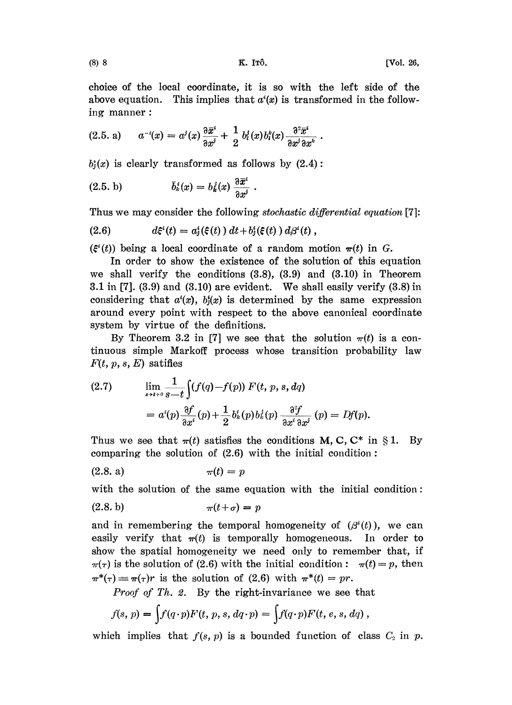choice of the local coordinate, it is so with the left side of the above equation. This implies that  $a'(x)$  is transformed in the following manner:

$$
(2.5. a) \qquad a^{-i}(x) = a^{i}(x)\frac{\partial \bar{x}^{i}}{\partial x^{j}} + \frac{1}{2}b^{i}_{i}(x)b^{k}_{i}(x)\frac{\partial^{2} \bar{x}^{i}}{\partial x^{j}\partial x^{k}}.
$$

 $b_i^*(x)$  is clearly transformed as follows by  $(2.4)$ :

(2.5. b) 
$$
\bar{b}_k^i(x) = b_k^j(x) \frac{\partial \bar{x}^i}{\partial x^j}
$$

Thus we may consider the following stochastic differential equation [7]:

(2.6) 
$$
d\xi^{i}(t) = a_{j}^{i}(\xi(t)) dt + b_{j}^{i}(\xi(t)) d\beta^{i}(t),
$$

 $(\xi^i(t))$  being a local coordinate of a random motion  $\pi(t)$  in G.

In order to show the existence of the solution of this equation we shall verify the conditions  $(3.8)$ ,  $(3.9)$  and  $(3.10)$  in Theorem 3.1 in  $[7]$ .  $(3.9)$  and  $(3.10)$  are evident. We shall easily verify  $(3.8)$  in considering that  $a^i(x)$ ,  $b^i(x)$  is determined by the same expression around every point with respect to the above canonical coordinate system by virtue of the definitions.

By Theorem 3.2 in [7] we see that the solution  $\pi(t)$  is a continuous simple Markoff process whose transition probability law  $F(t, p, s, E)$  satifies

(2.7) 
$$
\lim_{s \to t+0} \frac{1}{s-t} \int (f(q) - f(p)) F(t, p, s, dq)
$$

$$
= a^{i}(p) \frac{\partial f}{\partial x^{i}}(p) + \frac{1}{2} b^{i}_{k}(p) b^{j}_{k}(p) \frac{\partial^{2} f}{\partial x^{i} \partial x^{j}}(p) = Df(p).
$$

Thus we see that  $\pi(t)$  satisfies the conditions M, C, C\* in § 1. By comparing the solution of (2.6) with the initial condition:

$$
(2.8. a) \qquad \qquad \pi(t) = p
$$

with the solution of the same equation with the initial condition:

$$
(2.8. b) \t\t \pi(t+\sigma) = p
$$

and in remembering the temporal homogeneity of  $(\beta^{i}(t))$ , we can easily verify that  $\pi(t)$  is temporally homogeneous. In order to show the spatial homogeneity we need only to remember that, if  $\pi(\tau)$  is the solution of (2.6) with the initial condition:  $\pi(t) = p$ , then  $\pi^*(\tau) = \pi(\tau)r$  is the solution of (2.6) with  $\pi^*(t) = pr$ .

Proof of Th. 2. By the right-invariance we see that

$$
f(s, p) = \int f(q \cdot p) F(t, p, s, dq \cdot p) = \int f(q \cdot p) F(t, e, s, dq),
$$

which implies that  $f(s, p)$  is a bounded function of class  $C_2$  in p.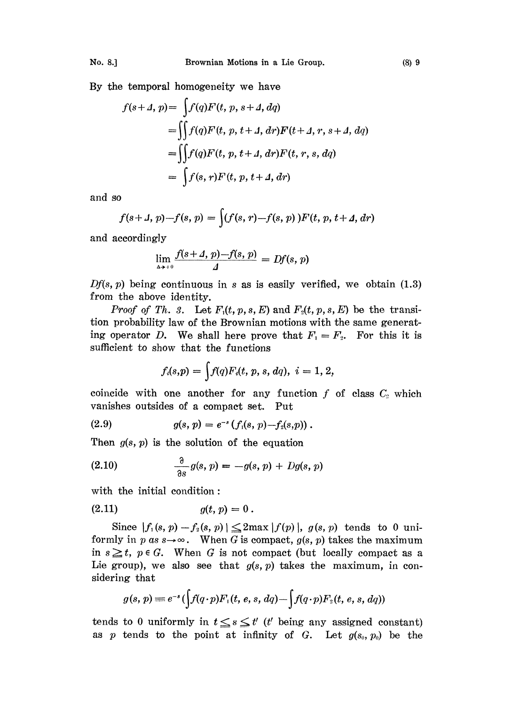By the temporal homogeneity we have

$$
f(s+4, p) = \int f(q)F(t, p, s+4, dq)
$$
  
= 
$$
\int \int f(q)F(t, p, t+4, dr)F(t+4, r, s+4, dq)
$$
  
= 
$$
\int \int f(q)F(t, p, t+4, dr)F(t, r, s, dq)
$$
  
= 
$$
\int f(s, r)F(t, p, t+4, dr)
$$

and so

$$
f(s+1, p) - f(s, p) = \int (f(s, r) - f(s, p)) F(t, p, t+A, dr)
$$

and accordingly

$$
\lim_{\Delta \to +0} \frac{f(s+A, p)-f(s, p)}{\Delta} = Df(s, p)
$$

 $Df(s, p)$  being continuous in s as is easily verified, we obtain (1.3) from the above identity.

*Proof of Th. 3.* Let  $F_1(t, p, s, E)$  and  $F_2(t, p, s, E)$  be the transition probability law of the Brownian motions with the same generating operator D. We shall here prove that  $F_1=F_2$ . For this it is sufficient to show that the functions

$$
f_i(s,p) = \int f(q) F_i(t, p, s, dq), i = 1, 2,
$$

coincide with one another for any function  $f$  of class  $C_2$  which vanishes outsides of a compact set. Put

(2.9) 
$$
g(s, p) = e^{-s} (f_1(s, p) - f_2(s, p)).
$$

Then  $g(s, p)$  is the solution of the equation

(2.10) 
$$
\frac{\partial}{\partial s} g(s, p) = -g(s, p) + Dg(s, p)
$$

with the initial condition:

$$
(2.11) \t\t g(t, p) = 0.
$$

Since  $|f_1(s, p) - f_2(s, p)| \leq 2max |f(p)|$ ,  $g(s, p)$  tends to 0 uniformly in p as  $s \rightarrow \infty$ . When G is compact,  $g(s, p)$  takes the maximum in  $s \geq t$ ,  $p \in G$ . When G is not compact (but locally compact as a Lie group), we also see that  $g(s, p)$  takes the maximum, in considering that

$$
g(s, p) = e^{-s}\left(\int f(q \cdot p) F_1(t, e, s, dq) - \int f(q \cdot p) F_2(t, e, s, dq)\right)
$$

tends to 0 uniformly in  $t \leq s \leq t'$  (t being any assigned constant) as p tends to the point at infinity of G. Let  $g(s_0, p_0)$  be the